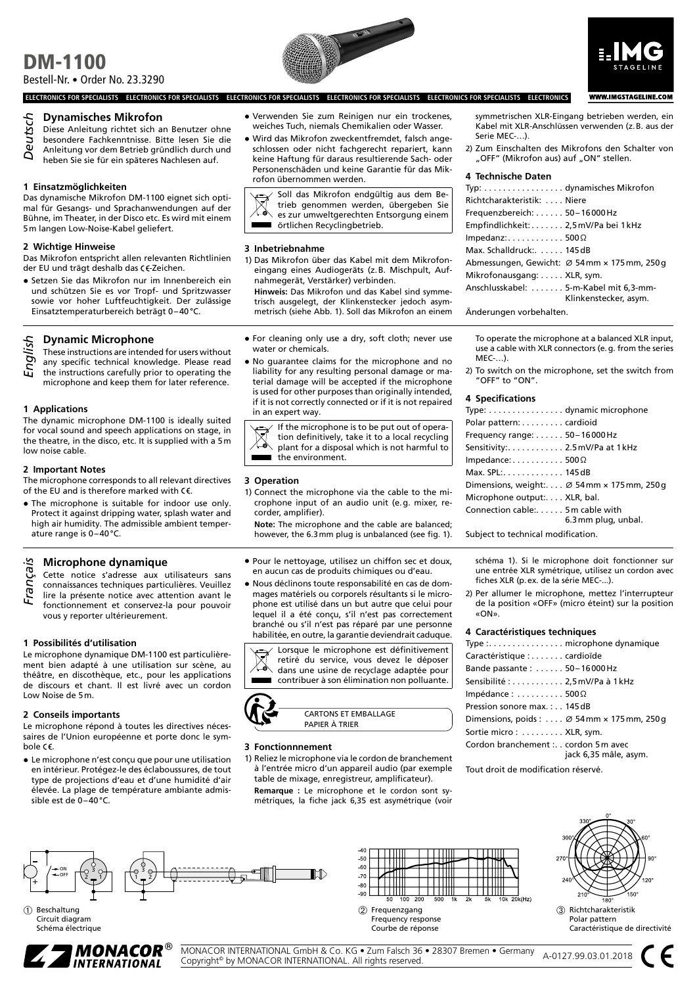# DM-1100 Bestell-Nr. • Order No. 23.3290





**WWW.IMGSTAGELINE.COM** 

**ELECTRONICS FOR SPECIALISTS ELECTRONICS FOR SPECIALISTS ELECTRONICS FOR SPECIALISTS ELECTRONICS FOR SPECIALISTS ELECTRONICS FOR SPECIALISTS ELECTRONICS**

# **Dynamisches Mikrofon**

- Diese Anleitung richtet sich an Benutzer ohne
- besondere Fachkenntnisse. Bitte lesen Sie die
- Anleitung vor dem Betrieb gründlich durch und Deuts
- heben Sie sie für ein späteres Nachlesen auf.

# **1 Einsatzmöglichkeiten**

Das dynamische Mikrofon DM-1100 eignet sich optimal für Gesangs- und Sprachanwendungen auf der Bühne, im Theater, in der Disco etc. Es wird mit einem 5m langen Low-Noise-Kabel geliefert.

# **2 Wichtige Hinweise**

Das Mikrofon entspricht allen relevanten Richtlinien der EU und trägt deshalb das CE-Zeichen.

• Setzen Sie das Mikrofon nur im Innenbereich ein und schützen Sie es vor Tropf- und Spritzwasser sowie vor hoher Luftfeuchtigkeit. Der zulässige Einsatztemperaturbereich beträgt 0–40°C.

# **Dynamic Microphone**

These instructions are intended for users without any specific technical knowledge. Please read

the instructions carefully prior to operating the microphone and keep them for later reference. Engl

# **1 Applications**

The dynamic microphone DM-1100 is ideally suited for vocal sound and speech applications on stage, in the theatre, in the disco, etc. It is supplied with a 5m low noise cable.

## **2 Important Notes**

The microphone corresponds to all relevant directives of the EU and is therefore marked with  $\epsilon \epsilon$ .

• The microphone is suitable for indoor use only. Protect it against dripping water, splash water and high air humidity. The admissible ambient temperature range is 0–40°C.

# **Microphone dynamique**

Cette notice s'adresse aux utilisateurs sans

- connaissances techniques particulières. Veuillez lire la présente notice avec attention avant le fonctionnement et conservez-la pour pouvoir vous y reporter ultérieurement. Françai
- **1 Possibilités d'utilisation**

Le microphone dynamique DM-1100 est particulièrement bien adapté à une utilisation sur scène, au théâtre, en discothèque, etc., pour les applications de discours et chant. Il est livré avec un cordon Low Noise de 5m.

## **2 Conseils importants**

Le microphone répond à toutes les directives nécessaires de l'Union européenne et porte donc le symbole  $C\epsilon$ .

• Le microphone n'est conçu que pour une utilisation en intérieur. Protégez-le des éclaboussures, de tout type de projections d'eau et d'une humidité d'air élevée. La plage de température ambiante admissible est de 0–40°C.

- Verwenden Sie zum Reinigen nur ein trockenes, weiches Tuch, niemals Chemikalien oder Wasser.
- Wird das Mikrofon zweckentfremdet, falsch angeschlossen oder nicht fachgerecht repariert, kann keine Haftung für daraus resultierende Sach- oder Personenschäden und keine Garantie für das Mikrofon übernommen werden.

Soll das Mikrofon endgültig aus dem Betrieb genommen werden, übergeben Sie es zur umweltgerechten Entsorgung einem örtlichen Recyclingbetrieb.

## **3 Inbetriebnahme**

1) Das Mikrofon über das Kabel mit dem Mikrofoneingang eines Audiogeräts (z.B. Mischpult, Aufnahmegerät, Verstärker) verbinden.

**Hinweis:** Das Mikrofon und das Kabel sind symmetrisch ausgelegt, der Klinkenstecker jedoch asymmetrisch (siehe Abb. 1). Soll das Mikrofon an einem

- For cleaning only use a dry, soft cloth; never use water or chemicals.
- No guarantee claims for the microphone and no liability for any resulting personal damage or material damage will be accepted if the microphone is used for other purposes than originally intended, if it is not correctly connected or if it is not repaired in an expert way.

If the microphone is to be put out of operation definitively, take it to a local recycling plant for a disposal which is not harmful to the environment.

# **3 Operation**

1) Connect the microphone via the cable to the microphone input of an audio unit (e.g. mixer, recorder, amplifier).

**Note:** The microphone and the cable are balanced; however, the 6.3mm plug is unbalanced (see fig. 1).

- Pour le nettoyage, utilisez un chiffon sec et doux, en aucun cas de produits chimiques ou d'eau.
- Nous déclinons toute responsabilité en cas de dommages matériels ou corporels résultants si le microphone est utilisé dans un but autre que celui pour lequel il a été conçu, s'il n'est pas correctement branché ou s'il n'est pas réparé par une personne habilitée, en outre, la garantie deviendrait caduque.

Lorsque le microphone est définitivement retiré du service, vous devez le déposer dans une usine de recyclage adaptée pour contribuer à son élimination non polluante.



## **3 Fonctionnnement**

1) Reliez le microphone via le cordon de branchement à l'entrée micro d'un appareil audio (par exemple table de mixage, enregistreur, amplificateur).

**Remarque :** Le microphone et le cordon sont symétriques, la fiche jack 6,35 est asymétrique (voir

symmetrischen XLR-Eingang betrieben werden, ein Kabel mit XLR-Anschlüssen verwenden (z.B. aus der Serie MEC-…).

2) Zum Einschalten des Mikrofons den Schalter von "OFF" (Mikrofon aus) auf "ON" stellen.

#### **4 Technische Daten**

| Typ: dynamisches Mikrofon             |                                            |
|---------------------------------------|--------------------------------------------|
| Richtcharakteristik: Niere            |                                            |
| Frequenzbereich: 50-16000 Hz          |                                            |
| Empfindlichkeit:2,5mV/Pa bei 1 kHz    |                                            |
| Impedanz:500 $\Omega$                 |                                            |
| Max. Schalldruck: 145 dB              |                                            |
|                                       | Abmessungen, Gewicht: Ø 54mm × 175mm, 250g |
| Mikrofonausgang: XLR, sym.            |                                            |
| Anschlusskabel: 5-m-Kabel mit 6,3-mm- | Klinkenstecker, asym.                      |
|                                       |                                            |

Änderungen vorbehalten.

To operate the microphone at a balanced XLR input, use a cable with XLR connectors (e.g. from the series MEC-…).

2) To switch on the microphone, set the switch from "OFF" to "ON".

## **4 Specifications**

| Type: dynamic microphone                   |                                                                |
|--------------------------------------------|----------------------------------------------------------------|
| Polar pattern: cardioid                    |                                                                |
| Frequency range: $\dots \dots 50-16000$ Hz |                                                                |
| Sensitivity:2.5 mV/Pa at 1 kHz             |                                                                |
| Impedance: $\dots \dots \dots 500 \Omega$  |                                                                |
| Max. SPL: $\dots\dots\dots\dots$ 145 dB    |                                                                |
|                                            | Dimensions, weight: $\varnothing$ 54 mm $\times$ 175 mm, 250 g |
| Microphone output: XLR, bal.               |                                                                |
| Connection cable:5m cable with             | 6.3 mm plug, unbal.                                            |
|                                            |                                                                |

Subject to technical modification.

schéma 1). Si le microphone doit fonctionner sur une entrée XLR symétrique, utilisez un cordon avec fiches XLR (p.ex. de la série MEC-...).

2) Per allumer le microphone, mettez l'interrupteur de la position «OFF» (micro éteint) sur la position «ON».

## **4 Caractéristiques techniques**

| Type : microphone dynamique                                   |
|---------------------------------------------------------------|
| Caractéristique : cardioïde                                   |
| Bande passante:  50-16000 Hz                                  |
| Sensibilité : 2,5 mV/Pa à 1 kHz                               |
| Impédance : $\dots\dots\dots$ 500 $\Omega$                    |
| Pression sonore max. : 145 dB                                 |
| Dimensions, poids: $\varnothing$ 54 mm $\times$ 175 mm, 250 g |
| Sortie micro:  XLR, sym.                                      |
| Cordon branchement : cordon 5 m avec<br>jack 6,35 mâle, asym. |

Tout droit de modification réservé.







➂ Richtcharakteristik Polar pattern Caractéristique de directivité



Schéma électrique